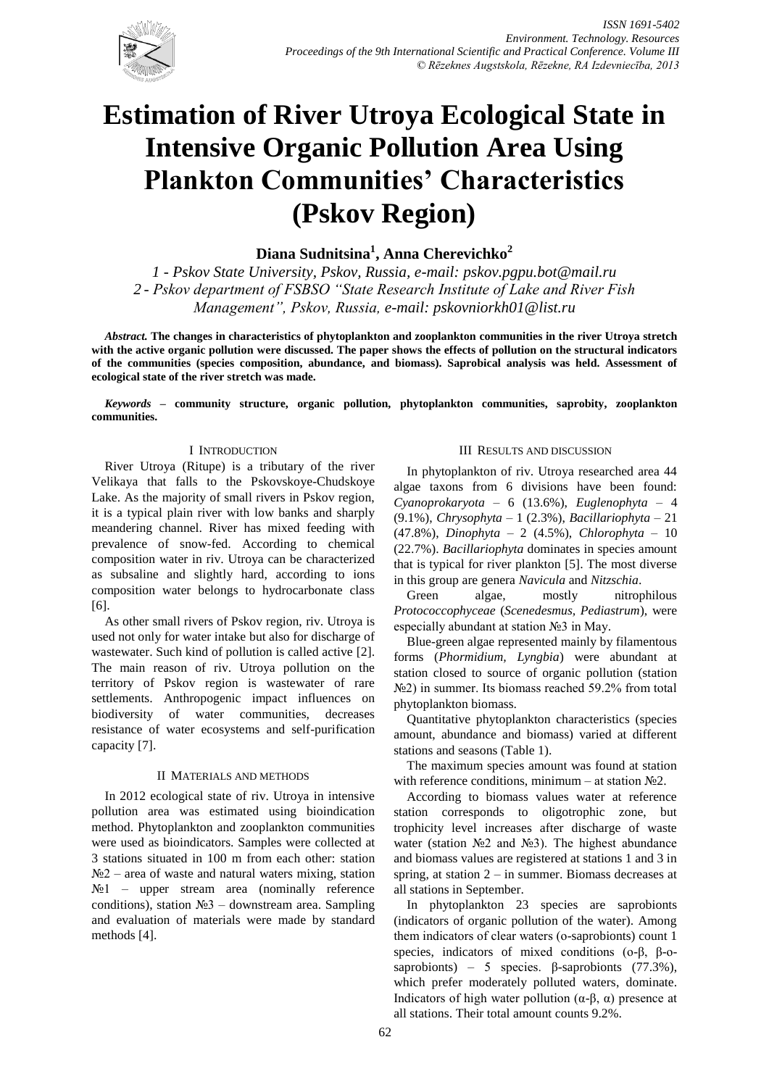

# **Estimation of River Utroya Ecological State in Intensive Organic Pollution Area Using Plankton Communities' Characteristics (Pskov Region)**

**Diana Sudnitsina<sup>1</sup> , Anna Cherevichko<sup>2</sup>**

*1 - Pskov State University, Pskov, Russia, e-mail: [pskov.pgpu.bot@mail.ru](mailto:pskov.pgpu.bot@mail.ru) 2 - Pskov department of FSBSO "State Research Institute of Lake and River Fish Management", Pskov, Russia, e-mail: [pskovniorkh01@list.ru](mailto:pskovniorkh01@list.ru)*

*Abstract.* **The changes in characteristics of phytoplankton and zooplankton communities in the river Utroya stretch with the active organic pollution were discussed. The paper shows the effects of pollution on the structural indicators of the communities (species composition, abundance, and biomass). Saprobical analysis was held. Assessment of ecological state of the river stretch was made.**

*Keywords* **– community structure, organic pollution, phytoplankton communities, saprobity, zooplankton communities.**

### I INTRODUCTION

River Utroya (Ritupe) is a tributary of the river Velikaya that falls to the Pskovskoye-Chudskoye Lake. As the majority of small rivers in Pskov region, it is a typical plain river with low banks and sharply meandering channel. River has mixed feeding with prevalence of snow-fed. According to chemical composition water in riv. Utroya can be characterized as subsaline and slightly hard, according to ions composition water belongs to hydrocarbonate class [6].

As other small rivers of Pskov region, riv. Utroya is used not only for water intake but also for discharge of wastewater. Such kind of pollution is called active [2]. The main reason of riv. Utroya pollution on the territory of Pskov region is wastewater of rare settlements. Anthropogenic impact influences on biodiversity of water communities, decreases resistance of water ecosystems and self-purification capacity [7].

#### II MATERIALS AND METHODS

In 2012 ecological state of riv. Utroya in intensive pollution area was estimated using bioindication method. Phytoplankton and zooplankton communities were used as bioindicators. Samples were collected at 3 stations situated in 100 m from each other: station  $N<sub>2</sub>$  – area of waste and natural waters mixing, station  $N<sub>2</sub>1$  – upper stream area (nominally reference conditions), station №3 – downstream area. Sampling and evaluation of materials were made by standard methods [4].

#### III RESULTS AND DISCUSSION

In phytoplankton of riv. Utroya researched area 44 algae taxons from 6 divisions have been found: *Cyanoprokaryota* – 6 (13.6%), *Euglenophyta* – 4 (9.1%), *Chrysophyta* – 1 (2.3%), *Bacillariophyta* – 21 (47.8%), *Dinophyta* – 2 (4.5%), *Chlorophyta* – 10 (22.7%). *Bacillariophyta* dominates in species amount that is typical for river plankton [5]. The most diverse in this group are genera *Navicula* and *Nitzschia*.

Green algae, mostly nitrophilous *Protococcophyceae* (*Scenedesmus, Pediastrum*), were especially abundant at station №3 in May.

Blue-green algae represented mainly by filamentous forms (*Phormidium, Lyngbia*) were abundant at station closed to source of organic pollution (station N<sup>o</sup>2) in summer. Its biomass reached 59.2% from total phytoplankton biomass.

Quantitative phytoplankton characteristics (species amount, abundance and biomass) varied at different stations and seasons (Table 1).

The maximum species amount was found at station with reference conditions, minimum – at station  $N<sub>2</sub>$ .

According to biomass values water at reference station corresponds to oligotrophic zone, but trophicity level increases after discharge of waste water (station №2 and №3). The highest abundance and biomass values are registered at stations 1 and 3 in spring, at station  $2 - in$  summer. Biomass decreases at all stations in September.

In phytoplankton 23 species are saprobionts (indicators of organic pollution of the water). Among them indicators of clear waters (ο-saprobionts) count 1 species, indicators of mixed conditions (o-β, β-osaprobionts) – 5 species. β-saprobionts (77.3%), which prefer moderately polluted waters, dominate. Indicators of high water pollution (α-β, α) presence at all stations. Their total amount counts 9.2%.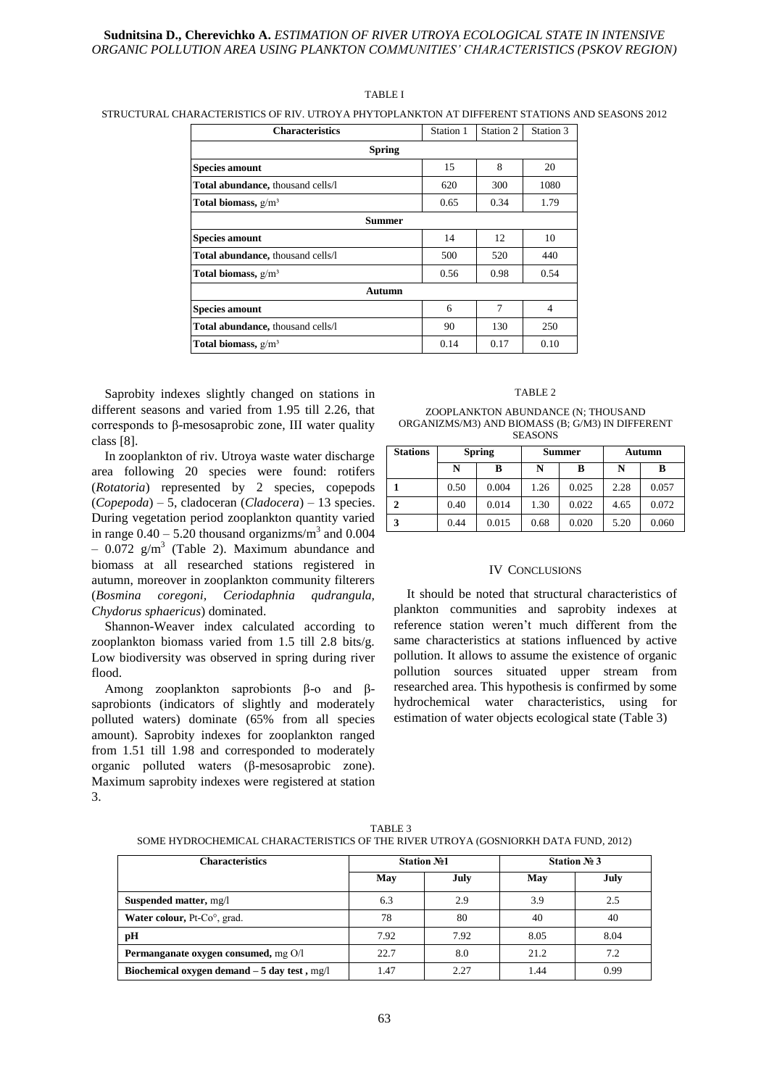#### **Sudnitsina D., Cherevichko A.** *ESTIMATION OF RIVER UTROYA ECOLOGICAL STATE IN INTENSIVE ORGANIC POLLUTION AREA USING PLANKTON COMMUNITIES' CHARACTERISTICS (PSKOV REGION)*

## **Characteristics** Station 1 Station 2 Station 3 **Spring Species amount** 15 8 20 **Total abundance,** thousand cells/l 620 620 1080 **Total biomass,**  $g/m^3$  0.65 0.34 1.79 **Summer Species amount** 14 12 10 **Total abundance,** thousand cells/l 500 520 440 **Total biomass,**  $g/m^3$  0.56 0.98 0.54 **Autumn Species amount** 6 **6 1** 7 **4 Total abundance,** thousand cells/l 90 130 250 **Total biomass,**  $g/m<sup>3</sup>$  0.14 0.17 0.10

#### TABLE I

STRUCTURAL CHARACTERISTICS OF RIV. UTROYA PHYTOPLANKTON AT DIFFERENT STATIONS AND SEASONS 2012

Saprobity indexes slightly changed on stations in different seasons and varied from 1.95 till 2.26, that corresponds to β-mesosaprobic zone, III water quality class [8].

In zooplankton of riv. Utroya waste water discharge area following 20 species were found: rotifers (*Rotatoria*) represented by 2 species, copepods (*Copepoda*) – 5, cladoceran (*Cladocera*) – 13 species. During vegetation period zooplankton quantity varied in range  $0.40 - 5.20$  thousand organizms/m<sup>3</sup> and  $0.004$  $-$  0.072 g/m<sup>3</sup> (Table 2). Maximum abundance and biomass at all researched stations registered in autumn, moreover in zooplankton community filterers (*Bosmina coregoni, Ceriodaphnia qudrangula, Chydorus sphaericus*) dominated.

Shannon-Weaver index calculated according to zooplankton biomass varied from 1.5 till 2.8 bits/g. Low biodiversity was observed in spring during river flood.

Among zooplankton saprobionts β-o and βsaprobionts (indicators of slightly and moderately polluted waters) dominate (65% from all species amount). Saprobity indexes for zooplankton ranged from 1.51 till 1.98 and corresponded to moderately organic polluted waters (β-mesosaprobic zone). Maximum saprobity indexes were registered at station 3.

#### TABLE 2

#### ZOOPLANKTON ABUNDANCE (N; THOUSAND ORGANIZMS/M3) AND BIOMASS (B; G/M3) IN DIFFERENT **SEASONS**

| <b>Stations</b> | <b>Spring</b> |       | <b>Summer</b> |       | Autumn |       |
|-----------------|---------------|-------|---------------|-------|--------|-------|
|                 | N             | в     | N             | в     | N      | B     |
|                 | 0.50          | 0.004 | 1.26          | 0.025 | 2.28   | 0.057 |
|                 | 0.40          | 0.014 | 1.30          | 0.022 | 4.65   | 0.072 |
|                 | 0.44          | 0.015 | 0.68          | 0.020 | 5.20   | 0.060 |

#### IV CONCLUSIONS

It should be noted that structural characteristics of plankton communities and saprobity indexes at reference station weren't much different from the same characteristics at stations influenced by active pollution. It allows to assume the existence of organic pollution sources situated upper stream from researched area. This hypothesis is confirmed by some hydrochemical water characteristics, using for estimation of water objects ecological state (Table 3)

| <b>Characteristics</b>                        | <b>Station No1</b> |      | Station $N_2$ 3 |      |
|-----------------------------------------------|--------------------|------|-----------------|------|
|                                               | May                | July | May             | July |
| Suspended matter, mg/l                        | 6.3                | 2.9  | 3.9             | 2.5  |
| Water colour, Pt-Co <sup>o</sup> , grad.      | 78                 | 80   | 40              | 40   |
| pН                                            | 7.92               | 7.92 | 8.05            | 8.04 |
| Permanganate oxygen consumed, mg O/l          | 22.7               | 8.0  | 21.2            | 7.2  |
| Biochemical oxygen demand $-5$ day test, mg/l | 1.47               | 2.27 | 1.44            | 0.99 |

TABLE 3 SOME HYDROCHEMICAL CHARACTERISTICS OF THE RIVER UTROYA (GOSNIORKH DATA FUND, 2012)